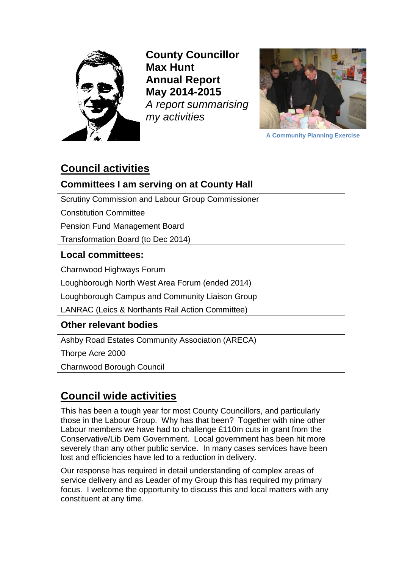

**County Councillor Max Hunt Annual Report May 2014-2015** *A report summarising my activities*



**A Community Planning Exercise**

## **Council activities**

## **Committees I am serving on at County Hall**

Scrutiny Commission and Labour Group Commissioner

Constitution Committee

Pension Fund Management Board

Transformation Board (to Dec 2014)

### **Local committees:**

Charnwood Highways Forum

Loughborough North West Area Forum (ended 2014)

Loughborough Campus and Community Liaison Group

LANRAC (Leics & Northants Rail Action Committee)

### **Other relevant bodies**

Ashby Road Estates Community Association (ARECA)

Thorpe Acre 2000

Charnwood Borough Council

# **Council wide activities**

This has been a tough year for most County Councillors, and particularly those in the Labour Group. Why has that been? Together with nine other Labour members we have had to challenge £110m cuts in grant from the Conservative/Lib Dem Government. Local government has been hit more severely than any other public service. In many cases services have been lost and efficiencies have led to a reduction in delivery.

Our response has required in detail understanding of complex areas of service delivery and as Leader of my Group this has required my primary focus. I welcome the opportunity to discuss this and local matters with any constituent at any time.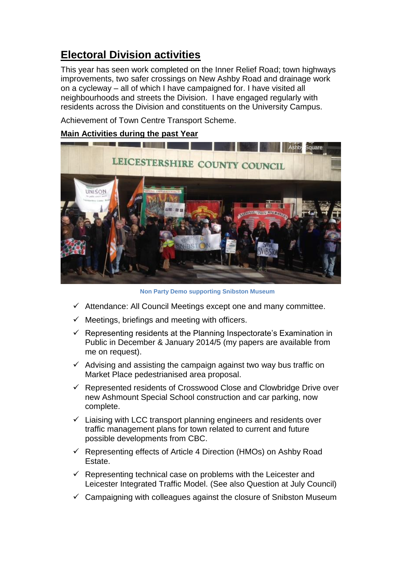# **Electoral Division activities**

This year has seen work completed on the Inner Relief Road; town highways improvements, two safer crossings on New Ashby Road and drainage work on a cycleway – all of which I have campaigned for. I have visited all neighbourhoods and streets the Division. I have engaged regularly with residents across the Division and constituents on the University Campus.

Achievement of Town Centre Transport Scheme.

### **Main Activities during the past Year**



 **Non Party Demo supporting Snibston Museum**

- $\checkmark$  Attendance: All Council Meetings except one and many committee.
- $\checkmark$  Meetings, briefings and meeting with officers.
- $\checkmark$  Representing residents at the Planning Inspectorate's Examination in Public in December & January 2014/5 (my papers are available from me on request).
- $\checkmark$  Advising and assisting the campaign against two way bus traffic on Market Place pedestrianised area proposal.
- $\checkmark$  Represented residents of Crosswood Close and Clowbridge Drive over new Ashmount Special School construction and car parking, now complete.
- $\checkmark$  Liaising with LCC transport planning engineers and residents over traffic management plans for town related to current and future possible developments from CBC.
- $\checkmark$  Representing effects of Article 4 Direction (HMOs) on Ashby Road Estate.
- $\checkmark$  Representing technical case on problems with the Leicester and Leicester Integrated Traffic Model. (See also Question at July Council)
- $\checkmark$  Campaigning with colleagues against the closure of Snibston Museum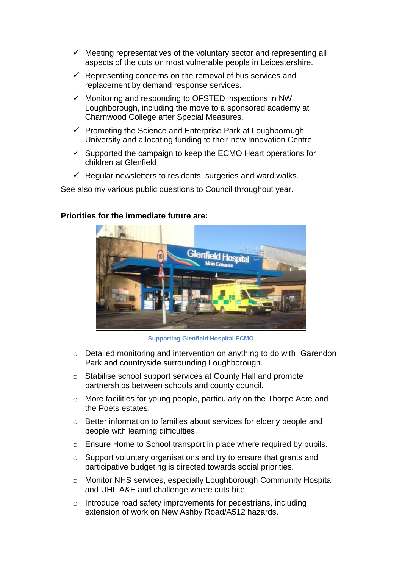- $\checkmark$  Meeting representatives of the voluntary sector and representing all aspects of the cuts on most vulnerable people in Leicestershire.
- $\checkmark$  Representing concerns on the removal of bus services and replacement by demand response services.
- $\checkmark$  Monitoring and responding to OFSTED inspections in NW Loughborough, including the move to a sponsored academy at Charnwood College after Special Measures.
- $\checkmark$  Promoting the Science and Enterprise Park at Loughborough University and allocating funding to their new Innovation Centre.
- $\checkmark$  Supported the campaign to keep the ECMO Heart operations for children at Glenfield
- $\checkmark$  Regular newsletters to residents, surgeries and ward walks.

See also my various public questions to Council throughout year.

#### **Priorities for the immediate future are:**



**Supporting Glenfield Hospital ECMO**

- o Detailed monitoring and intervention on anything to do with Garendon Park and countryside surrounding Loughborough.
- o Stabilise school support services at County Hall and promote partnerships between schools and county council.
- o More facilities for young people, particularly on the Thorpe Acre and the Poets estates.
- o Better information to families about services for elderly people and people with learning difficulties,
- o Ensure Home to School transport in place where required by pupils.
- o Support voluntary organisations and try to ensure that grants and participative budgeting is directed towards social priorities.
- o Monitor NHS services, especially Loughborough Community Hospital and UHL A&E and challenge where cuts bite.
- o Introduce road safety improvements for pedestrians, including extension of work on New Ashby Road/A512 hazards.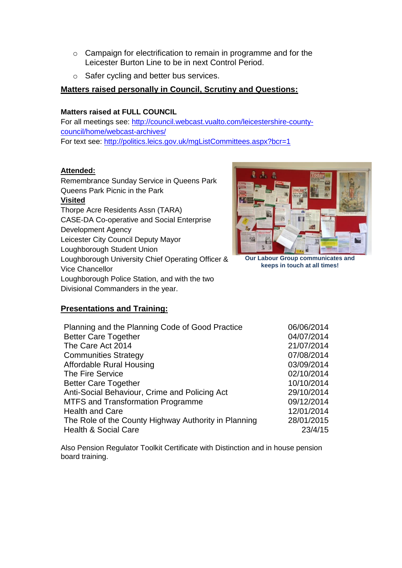- o Campaign for electrification to remain in programme and for the Leicester Burton Line to be in next Control Period.
- o Safer cycling and better bus services.

#### **Matters raised personally in Council, Scrutiny and Questions:**

#### **Matters raised at FULL COUNCIL**

For all meetings see: [http://council.webcast.vualto.com/leicestershire-county](http://council.webcast.vualto.com/leicestershire-county-council/home/webcast-archives/)[council/home/webcast-archives/](http://council.webcast.vualto.com/leicestershire-county-council/home/webcast-archives/) For text see:<http://politics.leics.gov.uk/mgListCommittees.aspx?bcr=1>

#### **Attended:**

| Remembrance Sunday Service in Queens Park         |
|---------------------------------------------------|
| Queens Park Picnic in the Park                    |
| <b>Visited</b>                                    |
| Thorpe Acre Residents Assn (TARA)                 |
| <b>CASE-DA Co-operative and Social Enterprise</b> |
| Development Agency                                |
| Leicester City Council Deputy Mayor               |
| Loughborough Student Union                        |
| Loughborough University Chief Operating Officer & |
| <b>Vice Chancellor</b>                            |
| Loughborough Police Station, and with the two     |
| Divisional Commanders in the year.                |



**Our Labour Group communicates and keeps in touch at all times!**

## **Presentations and Training:**

| Planning and the Planning Code of Good Practice      | 06/06/2014 |
|------------------------------------------------------|------------|
| <b>Better Care Together</b>                          | 04/07/2014 |
| The Care Act 2014                                    | 21/07/2014 |
| <b>Communities Strategy</b>                          | 07/08/2014 |
| Affordable Rural Housing                             | 03/09/2014 |
| The Fire Service                                     | 02/10/2014 |
| <b>Better Care Together</b>                          | 10/10/2014 |
| Anti-Social Behaviour, Crime and Policing Act        | 29/10/2014 |
| <b>MTFS and Transformation Programme</b>             | 09/12/2014 |
| <b>Health and Care</b>                               | 12/01/2014 |
| The Role of the County Highway Authority in Planning | 28/01/2015 |
| <b>Health &amp; Social Care</b>                      | 23/4/15    |

Also Pension Regulator Toolkit Certificate with Distinction and in house pension board training.